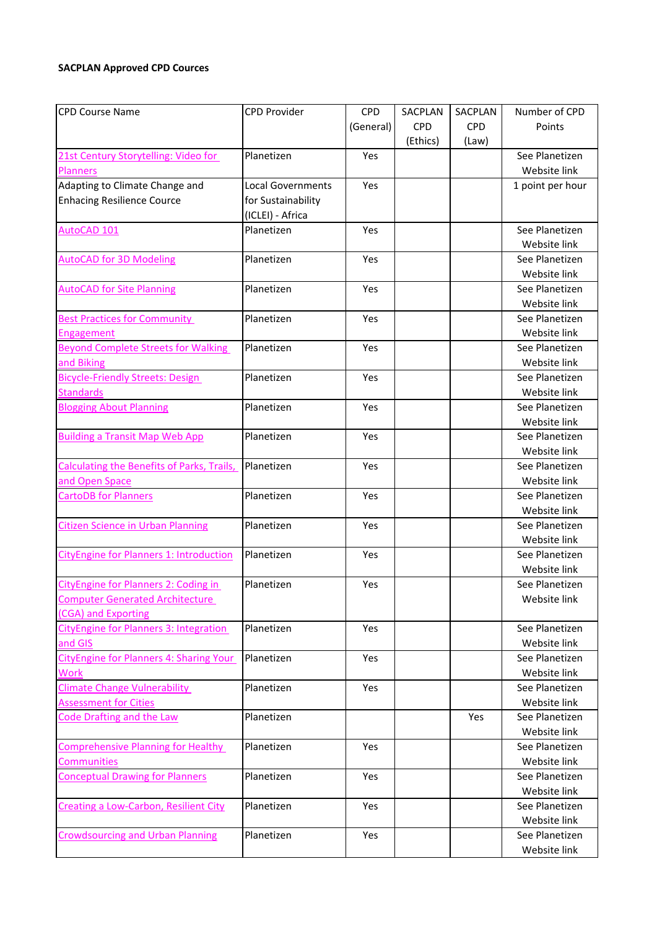## **SACPLAN Approved CPD Cources**

| <b>CPD Course Name</b>                            | <b>CPD Provider</b> | <b>CPD</b> | SACPLAN    | SACPLAN    | Number of CPD    |
|---------------------------------------------------|---------------------|------------|------------|------------|------------------|
|                                                   |                     | (General)  | <b>CPD</b> | <b>CPD</b> | Points           |
|                                                   |                     |            | (Ethics)   | (Law)      |                  |
| 21st Century Storytelling: Video for              | Planetizen          | Yes        |            |            | See Planetizen   |
| <b>Planners</b>                                   |                     |            |            |            | Website link     |
| Adapting to Climate Change and                    | Local Governments   | Yes        |            |            | 1 point per hour |
| <b>Enhacing Resilience Cource</b>                 | for Sustainability  |            |            |            |                  |
|                                                   | (ICLEI) - Africa    |            |            |            |                  |
| AutoCAD 101                                       | Planetizen          | Yes        |            |            | See Planetizen   |
|                                                   |                     |            |            |            | Website link     |
| <b>AutoCAD for 3D Modeling</b>                    | Planetizen          | Yes        |            |            | See Planetizen   |
|                                                   |                     |            |            |            | Website link     |
| <b>AutoCAD for Site Planning</b>                  | Planetizen          | Yes        |            |            | See Planetizen   |
|                                                   |                     |            |            |            | Website link     |
| <b>Best Practices for Community</b>               | Planetizen          | Yes        |            |            | See Planetizen   |
| <b>Engagement</b>                                 |                     |            |            |            | Website link     |
| <b>Beyond Complete Streets for Walking</b>        | Planetizen          | Yes        |            |            | See Planetizen   |
| and Biking                                        |                     |            |            |            | Website link     |
| <b>Bicycle-Friendly Streets: Design</b>           | Planetizen          | Yes        |            |            | See Planetizen   |
| <b>Standards</b>                                  |                     |            |            |            | Website link     |
| <b>Blogging About Planning</b>                    | Planetizen          | Yes        |            |            | See Planetizen   |
|                                                   |                     |            |            |            | Website link     |
| <b>Building a Transit Map Web App</b>             | Planetizen          | Yes        |            |            | See Planetizen   |
|                                                   |                     |            |            |            | Website link     |
| <b>Calculating the Benefits of Parks, Trails,</b> | Planetizen          | Yes        |            |            | See Planetizen   |
| and Open Space                                    |                     |            |            |            | Website link     |
| <b>CartoDB for Planners</b>                       | Planetizen          | Yes        |            |            | See Planetizen   |
|                                                   |                     |            |            |            | Website link     |
| <b>Citizen Science in Urban Planning</b>          | Planetizen          | Yes        |            |            | See Planetizen   |
|                                                   |                     |            |            |            | Website link     |
| CityEngine for Planners 1: Introduction           | Planetizen          | Yes        |            |            | See Planetizen   |
|                                                   |                     |            |            |            | Website link     |
| CityEngine for Planners 2: Coding in              | Planetizen          | Yes        |            |            | See Planetizen   |
| <b>Computer Generated Architecture</b>            |                     |            |            |            | Website link     |
| (CGA) and Exporting                               |                     |            |            |            |                  |
| <b>CityEngine for Planners 3: Integration</b>     | Planetizen          | Yes        |            |            | See Planetizen   |
| and GIS                                           |                     |            |            |            | Website link     |
| CityEngine for Planners 4: Sharing Your           | Planetizen          | Yes        |            |            | See Planetizen   |
| <b>Work</b>                                       |                     |            |            |            | Website link     |
| <b>Climate Change Vulnerability</b>               | Planetizen          | Yes        |            |            | See Planetizen   |
| <b>Assessment for Cities</b>                      |                     |            |            |            | Website link     |
| <b>Code Drafting and the Law</b>                  | Planetizen          |            |            | Yes        | See Planetizen   |
|                                                   |                     |            |            |            | Website link     |
| <b>Comprehensive Planning for Healthy</b>         | Planetizen          | Yes        |            |            | See Planetizen   |
| <b>Communities</b>                                |                     |            |            |            | Website link     |
| <b>Conceptual Drawing for Planners</b>            | Planetizen          | Yes        |            |            | See Planetizen   |
|                                                   |                     |            |            |            | Website link     |
| Creating a Low-Carbon, Resilient City             | Planetizen          | Yes        |            |            | See Planetizen   |
|                                                   |                     |            |            |            | Website link     |
| <b>Crowdsourcing and Urban Planning</b>           | Planetizen          | Yes        |            |            | See Planetizen   |
|                                                   |                     |            |            |            | Website link     |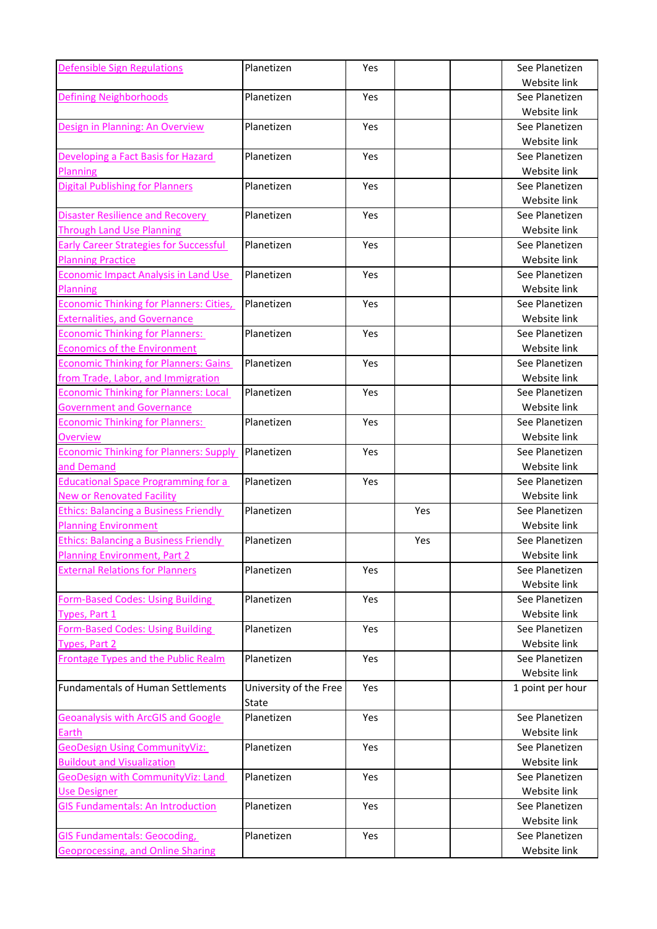| <b>Defensible Sign Regulations</b>                          | Planetizen             | Yes  |     | See Planetizen                 |
|-------------------------------------------------------------|------------------------|------|-----|--------------------------------|
|                                                             |                        |      |     | Website link                   |
| <b>Defining Neighborhoods</b>                               | Planetizen             | Yes  |     | See Planetizen                 |
|                                                             |                        |      |     | Website link                   |
| Design in Planning: An Overview                             | Planetizen             | Yes. |     | See Planetizen                 |
|                                                             |                        |      |     | Website link                   |
| Developing a Fact Basis for Hazard                          | Planetizen             | Yes  |     | See Planetizen                 |
| <b>Planning</b>                                             |                        |      |     | Website link                   |
| <b>Digital Publishing for Planners</b>                      | Planetizen             | Yes  |     | See Planetizen                 |
|                                                             |                        |      |     | Website link                   |
| <b>Disaster Resilience and Recovery</b>                     | Planetizen             | Yes  |     | See Planetizen                 |
| <b>Through Land Use Planning</b>                            |                        |      |     | Website link                   |
| <b>Early Career Strategies for Successful</b>               | Planetizen             | Yes  |     | See Planetizen                 |
| <b>Planning Practice</b>                                    |                        |      |     | Website link                   |
| <b>Economic Impact Analysis in Land Use</b>                 | Planetizen             | Yes  |     | See Planetizen                 |
| Planning                                                    |                        |      |     | Website link                   |
| Economic Thinking for Planners: Cities,                     | Planetizen             | Yes  |     | See Planetizen                 |
| <b>Externalities, and Governance</b>                        |                        |      |     | Website link                   |
| <b>Economic Thinking for Planners:</b>                      | Planetizen             | Yes  |     | See Planetizen                 |
| <b>Economics of the Environment</b>                         |                        |      |     | Website link                   |
| <b>Economic Thinking for Planners: Gains</b>                | Planetizen             | Yes  |     | See Planetizen                 |
| from Trade, Labor, and Immigration                          |                        |      |     | Website link                   |
| <b>Economic Thinking for Planners: Local</b>                | Planetizen             | Yes  |     | See Planetizen                 |
| <b>Government and Governance</b>                            |                        |      |     | Website link                   |
| <b>Economic Thinking for Planners:</b>                      | Planetizen             | Yes  |     | See Planetizen                 |
| <b>Overview</b>                                             |                        |      |     | Website link                   |
| <b>Economic Thinking for Planners: Supply</b>               | Planetizen             | Yes  |     | See Planetizen                 |
| and Demand                                                  |                        |      |     | Website link                   |
| <b>Educational Space Programming for a</b>                  | Planetizen             | Yes  |     | See Planetizen                 |
| <b>New or Renovated Facility</b>                            |                        |      |     | Website link                   |
| <b>Ethics: Balancing a Business Friendly</b>                | Planetizen             |      | Yes | See Planetizen                 |
| <b>Planning Environment</b>                                 |                        |      |     | Website link                   |
| <b>Ethics: Balancing a Business Friendly</b>                | Planetizen             |      | Yes | See Planetizen                 |
| <b>Planning Environment, Part 2</b>                         |                        |      |     | Website link                   |
| <b>External Relations for Planners</b>                      | Planetizen             | Yes  |     | See Planetizen                 |
|                                                             |                        |      |     | Website link                   |
| <b>Form-Based Codes: Using Building</b>                     | Planetizen             | Yes  |     | See Planetizen                 |
| Types, Part 1                                               |                        |      |     | Website link                   |
| <b>Form-Based Codes: Using Building</b>                     | Planetizen             | Yes  |     | See Planetizen<br>Website link |
| Types, Part 2<br><b>Frontage Types and the Public Realm</b> | Planetizen             | Yes  |     | See Planetizen                 |
|                                                             |                        |      |     | Website link                   |
| <b>Fundamentals of Human Settlements</b>                    | University of the Free | Yes  |     | 1 point per hour               |
|                                                             | State                  |      |     |                                |
| <b>Geoanalysis with ArcGIS and Google</b>                   | Planetizen             | Yes  |     | See Planetizen                 |
| Earth                                                       |                        |      |     | Website link                   |
| <b>GeoDesign Using CommunityViz:</b>                        | Planetizen             | Yes  |     | See Planetizen                 |
| <b>Buildout and Visualization</b>                           |                        |      |     | Website link                   |
| <b>GeoDesign with CommunityViz: Land</b>                    | Planetizen             | Yes  |     | See Planetizen                 |
| <b>Use Designer</b>                                         |                        |      |     | Website link                   |
| <b>GIS Fundamentals: An Introduction</b>                    | Planetizen             | Yes  |     | See Planetizen                 |
|                                                             |                        |      |     | Website link                   |
| <b>GIS Fundamentals: Geocoding,</b>                         | Planetizen             | Yes  |     | See Planetizen                 |
| <b>Geoprocessing, and Online Sharing</b>                    |                        |      |     | Website link                   |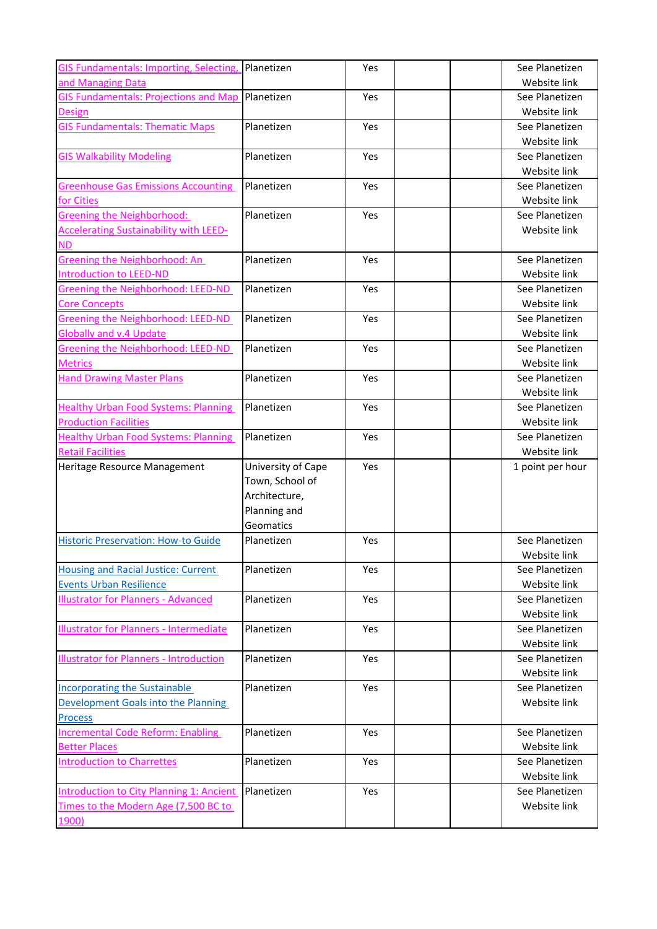| GIS Fundamentals: Importing, Selecting,                           | Planetizen         | Yes | See Planetizen                 |
|-------------------------------------------------------------------|--------------------|-----|--------------------------------|
| and Managing Data                                                 |                    |     | Website link                   |
| <b>GIS Fundamentals: Projections and Map</b>                      | Planetizen         | Yes | See Planetizen                 |
| <b>Design</b>                                                     |                    |     | Website link                   |
| <b>GIS Fundamentals: Thematic Maps</b>                            | Planetizen         | Yes | See Planetizen                 |
|                                                                   |                    |     | Website link                   |
| <b>GIS Walkability Modeling</b>                                   | Planetizen         | Yes | See Planetizen                 |
|                                                                   |                    |     | Website link                   |
| <b>Greenhouse Gas Emissions Accounting</b>                        | Planetizen         | Yes | See Planetizen                 |
| for Cities                                                        |                    |     | Website link                   |
| <b>Greening the Neighborhood:</b>                                 | Planetizen         | Yes | See Planetizen                 |
| <b>Accelerating Sustainability with LEED-</b>                     |                    |     | Website link                   |
| <b>ND</b>                                                         |                    |     |                                |
| Greening the Neighborhood: An                                     | Planetizen         | Yes | See Planetizen                 |
| <b>Introduction to LEED-ND</b>                                    |                    |     | Website link                   |
| <b>Greening the Neighborhood: LEED-ND</b><br><b>Core Concepts</b> | Planetizen         | Yes | See Planetizen<br>Website link |
| Greening the Neighborhood: LEED-ND                                | Planetizen         | Yes | See Planetizen                 |
| <b>Globally and v.4 Update</b>                                    |                    |     | Website link                   |
| Greening the Neighborhood: LEED-ND                                | Planetizen         | Yes | See Planetizen                 |
| <b>Metrics</b>                                                    |                    |     | Website link                   |
| <b>Hand Drawing Master Plans</b>                                  | Planetizen         | Yes | See Planetizen                 |
|                                                                   |                    |     | Website link                   |
| <b>Healthy Urban Food Systems: Planning</b>                       | Planetizen         | Yes | See Planetizen                 |
| <b>Production Facilities</b>                                      |                    |     | Website link                   |
| <b>Healthy Urban Food Systems: Planning</b>                       | Planetizen         | Yes | See Planetizen                 |
| <b>Retail Facilities</b>                                          |                    |     | Website link                   |
| Heritage Resource Management                                      | University of Cape | Yes | 1 point per hour               |
|                                                                   | Town, School of    |     |                                |
|                                                                   | Architecture,      |     |                                |
|                                                                   | Planning and       |     |                                |
|                                                                   | Geomatics          |     |                                |
| <b>Historic Preservation: How-to Guide</b>                        | Planetizen         | Yes | See Planetizen                 |
|                                                                   |                    |     | Website link                   |
| Housing and Racial Justice: Current                               | Planetizen         | Yes | See Planetizen                 |
| <b>Events Urban Resilience</b>                                    | Planetizen         |     | Website link<br>See Planetizen |
| <b>Illustrator for Planners - Advanced</b>                        |                    | Yes | Website link                   |
| <b>Illustrator for Planners - Intermediate</b>                    | Planetizen         | Yes | See Planetizen                 |
|                                                                   |                    |     | Website link                   |
| <b>Illustrator for Planners - Introduction</b>                    | Planetizen         | Yes | See Planetizen                 |
|                                                                   |                    |     |                                |
| <b>Incorporating the Sustainable</b>                              |                    |     |                                |
|                                                                   | Planetizen         | Yes | Website link<br>See Planetizen |
| Development Goals into the Planning                               |                    |     | Website link                   |
| <b>Process</b>                                                    |                    |     |                                |
| Incremental Code Reform: Enabling                                 | Planetizen         | Yes | See Planetizen                 |
| <b>Better Places</b>                                              |                    |     | Website link                   |
| <b>Introduction to Charrettes</b>                                 | Planetizen         | Yes | See Planetizen                 |
|                                                                   |                    |     | Website link                   |
| Introduction to City Planning 1: Ancient                          | Planetizen         | Yes | See Planetizen                 |
| Times to the Modern Age (7,500 BC to<br>1900)                     |                    |     | Website link                   |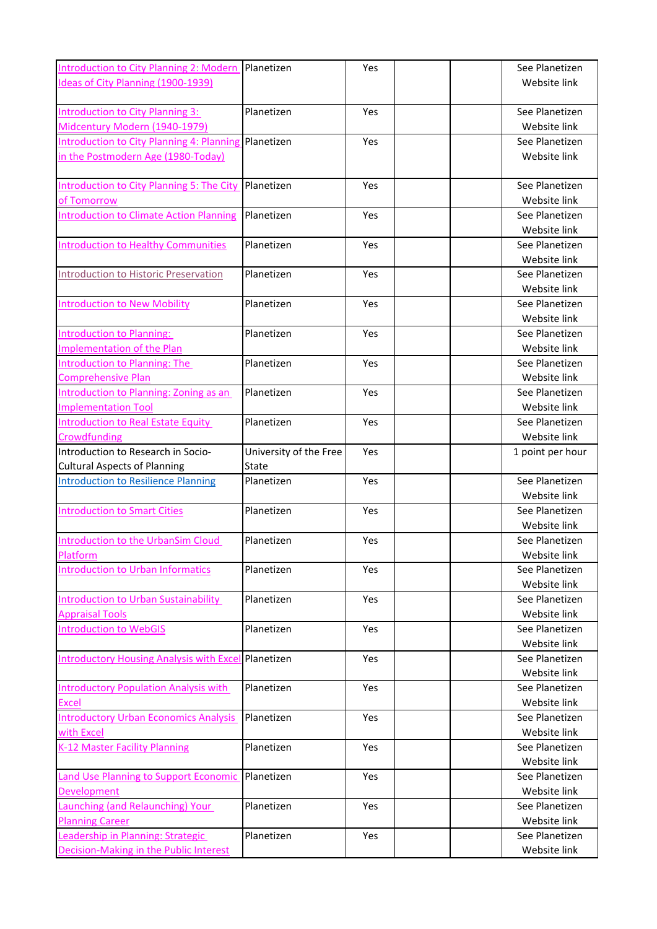| Ideas of City Planning (1900-1939)<br>Website link<br>Planetizen<br>Yes<br>See Planetizen<br><b>Introduction to City Planning 3:</b><br>Midcentury Modern (1940-1979)<br>Website link<br>Introduction to City Planning 4: Planning<br>Planetizen<br>Yes<br>See Planetizen<br>in the Postmodern Age (1980-Today)<br>Website link<br><b>Introduction to City Planning 5: The City</b><br>Planetizen<br>Yes<br>See Planetizen<br>Website link<br>of Tomorrow<br><b>Introduction to Climate Action Planning</b><br>Planetizen<br>Yes<br>See Planetizen<br>Website link<br>Planetizen<br>Yes<br>See Planetizen<br><b>Introduction to Healthy Communities</b><br>Website link<br>Planetizen<br>See Planetizen<br>Introduction to Historic Preservation<br>Yes<br>Website link<br>Planetizen<br>Yes<br>See Planetizen<br><b>Introduction to New Mobility</b><br>Website link<br>Planetizen<br>See Planetizen<br>Introduction to Planning:<br>Yes<br><b>Implementation of the Plan</b><br>Website link<br>Planetizen<br>See Planetizen<br>Introduction to Planning: The<br>Yes<br><b>Comprehensive Plan</b><br>Website link<br>Planetizen<br>See Planetizen<br>Introduction to Planning: Zoning as an<br>Yes<br><b>Implementation Tool</b><br>Website link<br>Planetizen<br>See Planetizen<br><b>Introduction to Real Estate Equity</b><br>Yes<br>Website link<br>Crowdfunding<br>Introduction to Research in Socio-<br>University of the Free<br>Yes<br>1 point per hour<br><b>Cultural Aspects of Planning</b><br>State<br>Yes<br>See Planetizen<br><b>Introduction to Resilience Planning</b><br>Planetizen<br>Website link<br>See Planetizen<br>Planetizen<br>Yes<br><b>Introduction to Smart Cities</b><br>Website link<br>Planetizen<br>See Planetizen<br><b>Introduction to the UrbanSim Cloud</b><br>Yes<br>Website link<br>Platform<br><b>Introduction to Urban Informatics</b><br>Planetizen<br>Yes.<br>See Planetizen<br>Website link<br>Introduction to Urban Sustainability<br>Planetizen<br>Yes<br>See Planetizen<br><b>Appraisal Tools</b><br>Website link<br><b>Introduction to WebGIS</b><br>Planetizen<br>Yes<br>See Planetizen<br>Website link<br><b>Introductory Housing Analysis with Exce</b><br>Planetizen<br>Yes<br>See Planetizen<br>Website link<br>Planetizen<br>Yes<br>See Planetizen<br><b>Introductory Population Analysis with</b><br>Website link<br>Excel<br><b>Introductory Urban Economics Analysis</b><br>Planetizen<br>Yes<br>See Planetizen<br>with Excel<br>Website link<br>K-12 Master Facility Planning<br>Planetizen<br>Yes<br>See Planetizen<br>Website link<br>Planetizen<br>Yes<br>See Planetizen<br><b>Land Use Planning to Support Economic</b><br>Website link<br><b>Development</b><br>Launching (and Relaunching) Your<br>Planetizen<br>Yes<br>See Planetizen<br>Website link<br><b>Planning Career</b><br>Planetizen<br>See Planetizen<br>Leadership in Planning: Strategic<br>Yes<br>Decision-Making in the Public Interest<br>Website link | <b>Introduction to City Planning 2: Modern</b> | Planetizen | Yes | See Planetizen |
|-----------------------------------------------------------------------------------------------------------------------------------------------------------------------------------------------------------------------------------------------------------------------------------------------------------------------------------------------------------------------------------------------------------------------------------------------------------------------------------------------------------------------------------------------------------------------------------------------------------------------------------------------------------------------------------------------------------------------------------------------------------------------------------------------------------------------------------------------------------------------------------------------------------------------------------------------------------------------------------------------------------------------------------------------------------------------------------------------------------------------------------------------------------------------------------------------------------------------------------------------------------------------------------------------------------------------------------------------------------------------------------------------------------------------------------------------------------------------------------------------------------------------------------------------------------------------------------------------------------------------------------------------------------------------------------------------------------------------------------------------------------------------------------------------------------------------------------------------------------------------------------------------------------------------------------------------------------------------------------------------------------------------------------------------------------------------------------------------------------------------------------------------------------------------------------------------------------------------------------------------------------------------------------------------------------------------------------------------------------------------------------------------------------------------------------------------------------------------------------------------------------------------------------------------------------------------------------------------------------------------------------------------------------------------------------------------------------------------------------------------------------------------------------------------------------------------------------------------------------------------------------------------------------------------------------------------------------------------------------------|------------------------------------------------|------------|-----|----------------|
|                                                                                                                                                                                                                                                                                                                                                                                                                                                                                                                                                                                                                                                                                                                                                                                                                                                                                                                                                                                                                                                                                                                                                                                                                                                                                                                                                                                                                                                                                                                                                                                                                                                                                                                                                                                                                                                                                                                                                                                                                                                                                                                                                                                                                                                                                                                                                                                                                                                                                                                                                                                                                                                                                                                                                                                                                                                                                                                                                                                         |                                                |            |     |                |
|                                                                                                                                                                                                                                                                                                                                                                                                                                                                                                                                                                                                                                                                                                                                                                                                                                                                                                                                                                                                                                                                                                                                                                                                                                                                                                                                                                                                                                                                                                                                                                                                                                                                                                                                                                                                                                                                                                                                                                                                                                                                                                                                                                                                                                                                                                                                                                                                                                                                                                                                                                                                                                                                                                                                                                                                                                                                                                                                                                                         |                                                |            |     |                |
|                                                                                                                                                                                                                                                                                                                                                                                                                                                                                                                                                                                                                                                                                                                                                                                                                                                                                                                                                                                                                                                                                                                                                                                                                                                                                                                                                                                                                                                                                                                                                                                                                                                                                                                                                                                                                                                                                                                                                                                                                                                                                                                                                                                                                                                                                                                                                                                                                                                                                                                                                                                                                                                                                                                                                                                                                                                                                                                                                                                         |                                                |            |     |                |
|                                                                                                                                                                                                                                                                                                                                                                                                                                                                                                                                                                                                                                                                                                                                                                                                                                                                                                                                                                                                                                                                                                                                                                                                                                                                                                                                                                                                                                                                                                                                                                                                                                                                                                                                                                                                                                                                                                                                                                                                                                                                                                                                                                                                                                                                                                                                                                                                                                                                                                                                                                                                                                                                                                                                                                                                                                                                                                                                                                                         |                                                |            |     |                |
|                                                                                                                                                                                                                                                                                                                                                                                                                                                                                                                                                                                                                                                                                                                                                                                                                                                                                                                                                                                                                                                                                                                                                                                                                                                                                                                                                                                                                                                                                                                                                                                                                                                                                                                                                                                                                                                                                                                                                                                                                                                                                                                                                                                                                                                                                                                                                                                                                                                                                                                                                                                                                                                                                                                                                                                                                                                                                                                                                                                         |                                                |            |     |                |
|                                                                                                                                                                                                                                                                                                                                                                                                                                                                                                                                                                                                                                                                                                                                                                                                                                                                                                                                                                                                                                                                                                                                                                                                                                                                                                                                                                                                                                                                                                                                                                                                                                                                                                                                                                                                                                                                                                                                                                                                                                                                                                                                                                                                                                                                                                                                                                                                                                                                                                                                                                                                                                                                                                                                                                                                                                                                                                                                                                                         |                                                |            |     |                |
|                                                                                                                                                                                                                                                                                                                                                                                                                                                                                                                                                                                                                                                                                                                                                                                                                                                                                                                                                                                                                                                                                                                                                                                                                                                                                                                                                                                                                                                                                                                                                                                                                                                                                                                                                                                                                                                                                                                                                                                                                                                                                                                                                                                                                                                                                                                                                                                                                                                                                                                                                                                                                                                                                                                                                                                                                                                                                                                                                                                         |                                                |            |     |                |
|                                                                                                                                                                                                                                                                                                                                                                                                                                                                                                                                                                                                                                                                                                                                                                                                                                                                                                                                                                                                                                                                                                                                                                                                                                                                                                                                                                                                                                                                                                                                                                                                                                                                                                                                                                                                                                                                                                                                                                                                                                                                                                                                                                                                                                                                                                                                                                                                                                                                                                                                                                                                                                                                                                                                                                                                                                                                                                                                                                                         |                                                |            |     |                |
|                                                                                                                                                                                                                                                                                                                                                                                                                                                                                                                                                                                                                                                                                                                                                                                                                                                                                                                                                                                                                                                                                                                                                                                                                                                                                                                                                                                                                                                                                                                                                                                                                                                                                                                                                                                                                                                                                                                                                                                                                                                                                                                                                                                                                                                                                                                                                                                                                                                                                                                                                                                                                                                                                                                                                                                                                                                                                                                                                                                         |                                                |            |     |                |
|                                                                                                                                                                                                                                                                                                                                                                                                                                                                                                                                                                                                                                                                                                                                                                                                                                                                                                                                                                                                                                                                                                                                                                                                                                                                                                                                                                                                                                                                                                                                                                                                                                                                                                                                                                                                                                                                                                                                                                                                                                                                                                                                                                                                                                                                                                                                                                                                                                                                                                                                                                                                                                                                                                                                                                                                                                                                                                                                                                                         |                                                |            |     |                |
|                                                                                                                                                                                                                                                                                                                                                                                                                                                                                                                                                                                                                                                                                                                                                                                                                                                                                                                                                                                                                                                                                                                                                                                                                                                                                                                                                                                                                                                                                                                                                                                                                                                                                                                                                                                                                                                                                                                                                                                                                                                                                                                                                                                                                                                                                                                                                                                                                                                                                                                                                                                                                                                                                                                                                                                                                                                                                                                                                                                         |                                                |            |     |                |
|                                                                                                                                                                                                                                                                                                                                                                                                                                                                                                                                                                                                                                                                                                                                                                                                                                                                                                                                                                                                                                                                                                                                                                                                                                                                                                                                                                                                                                                                                                                                                                                                                                                                                                                                                                                                                                                                                                                                                                                                                                                                                                                                                                                                                                                                                                                                                                                                                                                                                                                                                                                                                                                                                                                                                                                                                                                                                                                                                                                         |                                                |            |     |                |
|                                                                                                                                                                                                                                                                                                                                                                                                                                                                                                                                                                                                                                                                                                                                                                                                                                                                                                                                                                                                                                                                                                                                                                                                                                                                                                                                                                                                                                                                                                                                                                                                                                                                                                                                                                                                                                                                                                                                                                                                                                                                                                                                                                                                                                                                                                                                                                                                                                                                                                                                                                                                                                                                                                                                                                                                                                                                                                                                                                                         |                                                |            |     |                |
|                                                                                                                                                                                                                                                                                                                                                                                                                                                                                                                                                                                                                                                                                                                                                                                                                                                                                                                                                                                                                                                                                                                                                                                                                                                                                                                                                                                                                                                                                                                                                                                                                                                                                                                                                                                                                                                                                                                                                                                                                                                                                                                                                                                                                                                                                                                                                                                                                                                                                                                                                                                                                                                                                                                                                                                                                                                                                                                                                                                         |                                                |            |     |                |
|                                                                                                                                                                                                                                                                                                                                                                                                                                                                                                                                                                                                                                                                                                                                                                                                                                                                                                                                                                                                                                                                                                                                                                                                                                                                                                                                                                                                                                                                                                                                                                                                                                                                                                                                                                                                                                                                                                                                                                                                                                                                                                                                                                                                                                                                                                                                                                                                                                                                                                                                                                                                                                                                                                                                                                                                                                                                                                                                                                                         |                                                |            |     |                |
|                                                                                                                                                                                                                                                                                                                                                                                                                                                                                                                                                                                                                                                                                                                                                                                                                                                                                                                                                                                                                                                                                                                                                                                                                                                                                                                                                                                                                                                                                                                                                                                                                                                                                                                                                                                                                                                                                                                                                                                                                                                                                                                                                                                                                                                                                                                                                                                                                                                                                                                                                                                                                                                                                                                                                                                                                                                                                                                                                                                         |                                                |            |     |                |
|                                                                                                                                                                                                                                                                                                                                                                                                                                                                                                                                                                                                                                                                                                                                                                                                                                                                                                                                                                                                                                                                                                                                                                                                                                                                                                                                                                                                                                                                                                                                                                                                                                                                                                                                                                                                                                                                                                                                                                                                                                                                                                                                                                                                                                                                                                                                                                                                                                                                                                                                                                                                                                                                                                                                                                                                                                                                                                                                                                                         |                                                |            |     |                |
|                                                                                                                                                                                                                                                                                                                                                                                                                                                                                                                                                                                                                                                                                                                                                                                                                                                                                                                                                                                                                                                                                                                                                                                                                                                                                                                                                                                                                                                                                                                                                                                                                                                                                                                                                                                                                                                                                                                                                                                                                                                                                                                                                                                                                                                                                                                                                                                                                                                                                                                                                                                                                                                                                                                                                                                                                                                                                                                                                                                         |                                                |            |     |                |
|                                                                                                                                                                                                                                                                                                                                                                                                                                                                                                                                                                                                                                                                                                                                                                                                                                                                                                                                                                                                                                                                                                                                                                                                                                                                                                                                                                                                                                                                                                                                                                                                                                                                                                                                                                                                                                                                                                                                                                                                                                                                                                                                                                                                                                                                                                                                                                                                                                                                                                                                                                                                                                                                                                                                                                                                                                                                                                                                                                                         |                                                |            |     |                |
|                                                                                                                                                                                                                                                                                                                                                                                                                                                                                                                                                                                                                                                                                                                                                                                                                                                                                                                                                                                                                                                                                                                                                                                                                                                                                                                                                                                                                                                                                                                                                                                                                                                                                                                                                                                                                                                                                                                                                                                                                                                                                                                                                                                                                                                                                                                                                                                                                                                                                                                                                                                                                                                                                                                                                                                                                                                                                                                                                                                         |                                                |            |     |                |
|                                                                                                                                                                                                                                                                                                                                                                                                                                                                                                                                                                                                                                                                                                                                                                                                                                                                                                                                                                                                                                                                                                                                                                                                                                                                                                                                                                                                                                                                                                                                                                                                                                                                                                                                                                                                                                                                                                                                                                                                                                                                                                                                                                                                                                                                                                                                                                                                                                                                                                                                                                                                                                                                                                                                                                                                                                                                                                                                                                                         |                                                |            |     |                |
|                                                                                                                                                                                                                                                                                                                                                                                                                                                                                                                                                                                                                                                                                                                                                                                                                                                                                                                                                                                                                                                                                                                                                                                                                                                                                                                                                                                                                                                                                                                                                                                                                                                                                                                                                                                                                                                                                                                                                                                                                                                                                                                                                                                                                                                                                                                                                                                                                                                                                                                                                                                                                                                                                                                                                                                                                                                                                                                                                                                         |                                                |            |     |                |
|                                                                                                                                                                                                                                                                                                                                                                                                                                                                                                                                                                                                                                                                                                                                                                                                                                                                                                                                                                                                                                                                                                                                                                                                                                                                                                                                                                                                                                                                                                                                                                                                                                                                                                                                                                                                                                                                                                                                                                                                                                                                                                                                                                                                                                                                                                                                                                                                                                                                                                                                                                                                                                                                                                                                                                                                                                                                                                                                                                                         |                                                |            |     |                |
|                                                                                                                                                                                                                                                                                                                                                                                                                                                                                                                                                                                                                                                                                                                                                                                                                                                                                                                                                                                                                                                                                                                                                                                                                                                                                                                                                                                                                                                                                                                                                                                                                                                                                                                                                                                                                                                                                                                                                                                                                                                                                                                                                                                                                                                                                                                                                                                                                                                                                                                                                                                                                                                                                                                                                                                                                                                                                                                                                                                         |                                                |            |     |                |
|                                                                                                                                                                                                                                                                                                                                                                                                                                                                                                                                                                                                                                                                                                                                                                                                                                                                                                                                                                                                                                                                                                                                                                                                                                                                                                                                                                                                                                                                                                                                                                                                                                                                                                                                                                                                                                                                                                                                                                                                                                                                                                                                                                                                                                                                                                                                                                                                                                                                                                                                                                                                                                                                                                                                                                                                                                                                                                                                                                                         |                                                |            |     |                |
|                                                                                                                                                                                                                                                                                                                                                                                                                                                                                                                                                                                                                                                                                                                                                                                                                                                                                                                                                                                                                                                                                                                                                                                                                                                                                                                                                                                                                                                                                                                                                                                                                                                                                                                                                                                                                                                                                                                                                                                                                                                                                                                                                                                                                                                                                                                                                                                                                                                                                                                                                                                                                                                                                                                                                                                                                                                                                                                                                                                         |                                                |            |     |                |
|                                                                                                                                                                                                                                                                                                                                                                                                                                                                                                                                                                                                                                                                                                                                                                                                                                                                                                                                                                                                                                                                                                                                                                                                                                                                                                                                                                                                                                                                                                                                                                                                                                                                                                                                                                                                                                                                                                                                                                                                                                                                                                                                                                                                                                                                                                                                                                                                                                                                                                                                                                                                                                                                                                                                                                                                                                                                                                                                                                                         |                                                |            |     |                |
|                                                                                                                                                                                                                                                                                                                                                                                                                                                                                                                                                                                                                                                                                                                                                                                                                                                                                                                                                                                                                                                                                                                                                                                                                                                                                                                                                                                                                                                                                                                                                                                                                                                                                                                                                                                                                                                                                                                                                                                                                                                                                                                                                                                                                                                                                                                                                                                                                                                                                                                                                                                                                                                                                                                                                                                                                                                                                                                                                                                         |                                                |            |     |                |
|                                                                                                                                                                                                                                                                                                                                                                                                                                                                                                                                                                                                                                                                                                                                                                                                                                                                                                                                                                                                                                                                                                                                                                                                                                                                                                                                                                                                                                                                                                                                                                                                                                                                                                                                                                                                                                                                                                                                                                                                                                                                                                                                                                                                                                                                                                                                                                                                                                                                                                                                                                                                                                                                                                                                                                                                                                                                                                                                                                                         |                                                |            |     |                |
|                                                                                                                                                                                                                                                                                                                                                                                                                                                                                                                                                                                                                                                                                                                                                                                                                                                                                                                                                                                                                                                                                                                                                                                                                                                                                                                                                                                                                                                                                                                                                                                                                                                                                                                                                                                                                                                                                                                                                                                                                                                                                                                                                                                                                                                                                                                                                                                                                                                                                                                                                                                                                                                                                                                                                                                                                                                                                                                                                                                         |                                                |            |     |                |
|                                                                                                                                                                                                                                                                                                                                                                                                                                                                                                                                                                                                                                                                                                                                                                                                                                                                                                                                                                                                                                                                                                                                                                                                                                                                                                                                                                                                                                                                                                                                                                                                                                                                                                                                                                                                                                                                                                                                                                                                                                                                                                                                                                                                                                                                                                                                                                                                                                                                                                                                                                                                                                                                                                                                                                                                                                                                                                                                                                                         |                                                |            |     |                |
|                                                                                                                                                                                                                                                                                                                                                                                                                                                                                                                                                                                                                                                                                                                                                                                                                                                                                                                                                                                                                                                                                                                                                                                                                                                                                                                                                                                                                                                                                                                                                                                                                                                                                                                                                                                                                                                                                                                                                                                                                                                                                                                                                                                                                                                                                                                                                                                                                                                                                                                                                                                                                                                                                                                                                                                                                                                                                                                                                                                         |                                                |            |     |                |
|                                                                                                                                                                                                                                                                                                                                                                                                                                                                                                                                                                                                                                                                                                                                                                                                                                                                                                                                                                                                                                                                                                                                                                                                                                                                                                                                                                                                                                                                                                                                                                                                                                                                                                                                                                                                                                                                                                                                                                                                                                                                                                                                                                                                                                                                                                                                                                                                                                                                                                                                                                                                                                                                                                                                                                                                                                                                                                                                                                                         |                                                |            |     |                |
|                                                                                                                                                                                                                                                                                                                                                                                                                                                                                                                                                                                                                                                                                                                                                                                                                                                                                                                                                                                                                                                                                                                                                                                                                                                                                                                                                                                                                                                                                                                                                                                                                                                                                                                                                                                                                                                                                                                                                                                                                                                                                                                                                                                                                                                                                                                                                                                                                                                                                                                                                                                                                                                                                                                                                                                                                                                                                                                                                                                         |                                                |            |     |                |
|                                                                                                                                                                                                                                                                                                                                                                                                                                                                                                                                                                                                                                                                                                                                                                                                                                                                                                                                                                                                                                                                                                                                                                                                                                                                                                                                                                                                                                                                                                                                                                                                                                                                                                                                                                                                                                                                                                                                                                                                                                                                                                                                                                                                                                                                                                                                                                                                                                                                                                                                                                                                                                                                                                                                                                                                                                                                                                                                                                                         |                                                |            |     |                |
|                                                                                                                                                                                                                                                                                                                                                                                                                                                                                                                                                                                                                                                                                                                                                                                                                                                                                                                                                                                                                                                                                                                                                                                                                                                                                                                                                                                                                                                                                                                                                                                                                                                                                                                                                                                                                                                                                                                                                                                                                                                                                                                                                                                                                                                                                                                                                                                                                                                                                                                                                                                                                                                                                                                                                                                                                                                                                                                                                                                         |                                                |            |     |                |
|                                                                                                                                                                                                                                                                                                                                                                                                                                                                                                                                                                                                                                                                                                                                                                                                                                                                                                                                                                                                                                                                                                                                                                                                                                                                                                                                                                                                                                                                                                                                                                                                                                                                                                                                                                                                                                                                                                                                                                                                                                                                                                                                                                                                                                                                                                                                                                                                                                                                                                                                                                                                                                                                                                                                                                                                                                                                                                                                                                                         |                                                |            |     |                |
|                                                                                                                                                                                                                                                                                                                                                                                                                                                                                                                                                                                                                                                                                                                                                                                                                                                                                                                                                                                                                                                                                                                                                                                                                                                                                                                                                                                                                                                                                                                                                                                                                                                                                                                                                                                                                                                                                                                                                                                                                                                                                                                                                                                                                                                                                                                                                                                                                                                                                                                                                                                                                                                                                                                                                                                                                                                                                                                                                                                         |                                                |            |     |                |
|                                                                                                                                                                                                                                                                                                                                                                                                                                                                                                                                                                                                                                                                                                                                                                                                                                                                                                                                                                                                                                                                                                                                                                                                                                                                                                                                                                                                                                                                                                                                                                                                                                                                                                                                                                                                                                                                                                                                                                                                                                                                                                                                                                                                                                                                                                                                                                                                                                                                                                                                                                                                                                                                                                                                                                                                                                                                                                                                                                                         |                                                |            |     |                |
|                                                                                                                                                                                                                                                                                                                                                                                                                                                                                                                                                                                                                                                                                                                                                                                                                                                                                                                                                                                                                                                                                                                                                                                                                                                                                                                                                                                                                                                                                                                                                                                                                                                                                                                                                                                                                                                                                                                                                                                                                                                                                                                                                                                                                                                                                                                                                                                                                                                                                                                                                                                                                                                                                                                                                                                                                                                                                                                                                                                         |                                                |            |     |                |
|                                                                                                                                                                                                                                                                                                                                                                                                                                                                                                                                                                                                                                                                                                                                                                                                                                                                                                                                                                                                                                                                                                                                                                                                                                                                                                                                                                                                                                                                                                                                                                                                                                                                                                                                                                                                                                                                                                                                                                                                                                                                                                                                                                                                                                                                                                                                                                                                                                                                                                                                                                                                                                                                                                                                                                                                                                                                                                                                                                                         |                                                |            |     |                |
|                                                                                                                                                                                                                                                                                                                                                                                                                                                                                                                                                                                                                                                                                                                                                                                                                                                                                                                                                                                                                                                                                                                                                                                                                                                                                                                                                                                                                                                                                                                                                                                                                                                                                                                                                                                                                                                                                                                                                                                                                                                                                                                                                                                                                                                                                                                                                                                                                                                                                                                                                                                                                                                                                                                                                                                                                                                                                                                                                                                         |                                                |            |     |                |
|                                                                                                                                                                                                                                                                                                                                                                                                                                                                                                                                                                                                                                                                                                                                                                                                                                                                                                                                                                                                                                                                                                                                                                                                                                                                                                                                                                                                                                                                                                                                                                                                                                                                                                                                                                                                                                                                                                                                                                                                                                                                                                                                                                                                                                                                                                                                                                                                                                                                                                                                                                                                                                                                                                                                                                                                                                                                                                                                                                                         |                                                |            |     |                |
|                                                                                                                                                                                                                                                                                                                                                                                                                                                                                                                                                                                                                                                                                                                                                                                                                                                                                                                                                                                                                                                                                                                                                                                                                                                                                                                                                                                                                                                                                                                                                                                                                                                                                                                                                                                                                                                                                                                                                                                                                                                                                                                                                                                                                                                                                                                                                                                                                                                                                                                                                                                                                                                                                                                                                                                                                                                                                                                                                                                         |                                                |            |     |                |
|                                                                                                                                                                                                                                                                                                                                                                                                                                                                                                                                                                                                                                                                                                                                                                                                                                                                                                                                                                                                                                                                                                                                                                                                                                                                                                                                                                                                                                                                                                                                                                                                                                                                                                                                                                                                                                                                                                                                                                                                                                                                                                                                                                                                                                                                                                                                                                                                                                                                                                                                                                                                                                                                                                                                                                                                                                                                                                                                                                                         |                                                |            |     |                |
|                                                                                                                                                                                                                                                                                                                                                                                                                                                                                                                                                                                                                                                                                                                                                                                                                                                                                                                                                                                                                                                                                                                                                                                                                                                                                                                                                                                                                                                                                                                                                                                                                                                                                                                                                                                                                                                                                                                                                                                                                                                                                                                                                                                                                                                                                                                                                                                                                                                                                                                                                                                                                                                                                                                                                                                                                                                                                                                                                                                         |                                                |            |     |                |
|                                                                                                                                                                                                                                                                                                                                                                                                                                                                                                                                                                                                                                                                                                                                                                                                                                                                                                                                                                                                                                                                                                                                                                                                                                                                                                                                                                                                                                                                                                                                                                                                                                                                                                                                                                                                                                                                                                                                                                                                                                                                                                                                                                                                                                                                                                                                                                                                                                                                                                                                                                                                                                                                                                                                                                                                                                                                                                                                                                                         |                                                |            |     |                |
|                                                                                                                                                                                                                                                                                                                                                                                                                                                                                                                                                                                                                                                                                                                                                                                                                                                                                                                                                                                                                                                                                                                                                                                                                                                                                                                                                                                                                                                                                                                                                                                                                                                                                                                                                                                                                                                                                                                                                                                                                                                                                                                                                                                                                                                                                                                                                                                                                                                                                                                                                                                                                                                                                                                                                                                                                                                                                                                                                                                         |                                                |            |     |                |
|                                                                                                                                                                                                                                                                                                                                                                                                                                                                                                                                                                                                                                                                                                                                                                                                                                                                                                                                                                                                                                                                                                                                                                                                                                                                                                                                                                                                                                                                                                                                                                                                                                                                                                                                                                                                                                                                                                                                                                                                                                                                                                                                                                                                                                                                                                                                                                                                                                                                                                                                                                                                                                                                                                                                                                                                                                                                                                                                                                                         |                                                |            |     |                |
|                                                                                                                                                                                                                                                                                                                                                                                                                                                                                                                                                                                                                                                                                                                                                                                                                                                                                                                                                                                                                                                                                                                                                                                                                                                                                                                                                                                                                                                                                                                                                                                                                                                                                                                                                                                                                                                                                                                                                                                                                                                                                                                                                                                                                                                                                                                                                                                                                                                                                                                                                                                                                                                                                                                                                                                                                                                                                                                                                                                         |                                                |            |     |                |
|                                                                                                                                                                                                                                                                                                                                                                                                                                                                                                                                                                                                                                                                                                                                                                                                                                                                                                                                                                                                                                                                                                                                                                                                                                                                                                                                                                                                                                                                                                                                                                                                                                                                                                                                                                                                                                                                                                                                                                                                                                                                                                                                                                                                                                                                                                                                                                                                                                                                                                                                                                                                                                                                                                                                                                                                                                                                                                                                                                                         |                                                |            |     |                |
|                                                                                                                                                                                                                                                                                                                                                                                                                                                                                                                                                                                                                                                                                                                                                                                                                                                                                                                                                                                                                                                                                                                                                                                                                                                                                                                                                                                                                                                                                                                                                                                                                                                                                                                                                                                                                                                                                                                                                                                                                                                                                                                                                                                                                                                                                                                                                                                                                                                                                                                                                                                                                                                                                                                                                                                                                                                                                                                                                                                         |                                                |            |     |                |
|                                                                                                                                                                                                                                                                                                                                                                                                                                                                                                                                                                                                                                                                                                                                                                                                                                                                                                                                                                                                                                                                                                                                                                                                                                                                                                                                                                                                                                                                                                                                                                                                                                                                                                                                                                                                                                                                                                                                                                                                                                                                                                                                                                                                                                                                                                                                                                                                                                                                                                                                                                                                                                                                                                                                                                                                                                                                                                                                                                                         |                                                |            |     |                |
|                                                                                                                                                                                                                                                                                                                                                                                                                                                                                                                                                                                                                                                                                                                                                                                                                                                                                                                                                                                                                                                                                                                                                                                                                                                                                                                                                                                                                                                                                                                                                                                                                                                                                                                                                                                                                                                                                                                                                                                                                                                                                                                                                                                                                                                                                                                                                                                                                                                                                                                                                                                                                                                                                                                                                                                                                                                                                                                                                                                         |                                                |            |     |                |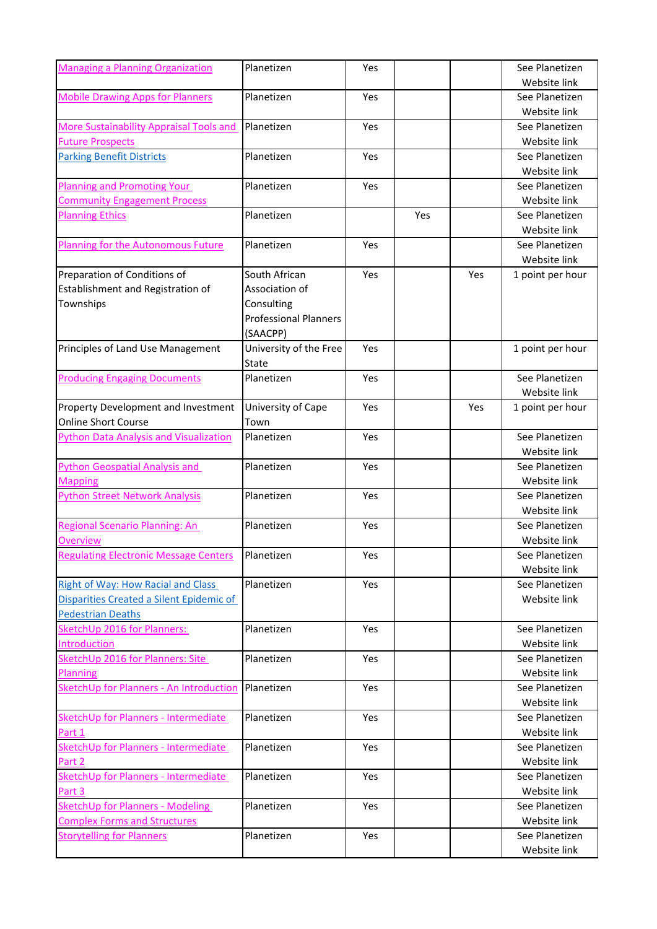| <b>Managing a Planning Organization</b>        | Planetizen                   | Yes        |     |     | See Planetizen                 |
|------------------------------------------------|------------------------------|------------|-----|-----|--------------------------------|
|                                                |                              |            |     |     | Website link                   |
| <b>Mobile Drawing Apps for Planners</b>        | Planetizen                   | Yes        |     |     | See Planetizen<br>Website link |
| <b>More Sustainability Appraisal Tools and</b> | Planetizen                   | Yes        |     |     | See Planetizen                 |
| <b>Future Prospects</b>                        |                              |            |     |     | Website link                   |
| <b>Parking Benefit Districts</b>               | Planetizen                   | Yes        |     |     | See Planetizen                 |
|                                                |                              |            |     |     | Website link                   |
| <b>Planning and Promoting Your</b>             | Planetizen                   | Yes        |     |     | See Planetizen                 |
| <b>Community Engagement Process</b>            |                              |            |     |     | Website link                   |
| <b>Planning Ethics</b>                         | Planetizen                   |            | Yes |     | See Planetizen                 |
|                                                |                              |            |     |     | Website link                   |
| <b>Planning for the Autonomous Future</b>      | Planetizen                   | Yes        |     |     | See Planetizen                 |
|                                                |                              |            |     |     | Website link                   |
| Preparation of Conditions of                   | South African                | Yes        |     | Yes | 1 point per hour               |
| Establishment and Registration of              | Association of               |            |     |     |                                |
| Townships                                      | Consulting                   |            |     |     |                                |
|                                                | <b>Professional Planners</b> |            |     |     |                                |
|                                                | (SAACPP)                     |            |     |     |                                |
| Principles of Land Use Management              | University of the Free       | Yes        |     |     | 1 point per hour               |
|                                                | State                        |            |     |     |                                |
| <b>Producing Engaging Documents</b>            | Planetizen                   | Yes        |     |     | See Planetizen                 |
|                                                |                              |            |     |     | Website link                   |
| Property Development and Investment            | University of Cape           | Yes        |     | Yes | 1 point per hour               |
| <b>Online Short Course</b>                     | Town                         |            |     |     |                                |
| <b>Python Data Analysis and Visualization</b>  | Planetizen                   | Yes        |     |     | See Planetizen                 |
|                                                |                              |            |     |     | Website link                   |
| <b>Python Geospatial Analysis and</b>          | Planetizen                   | Yes        |     |     | See Planetizen                 |
| <b>Mapping</b>                                 |                              |            |     |     | Website link                   |
| <b>Python Street Network Analysis</b>          | Planetizen                   | Yes        |     |     | See Planetizen                 |
|                                                |                              |            |     |     | Website link                   |
| Regional Scenario Planning: An                 | Planetizen                   | Yes        |     |     | See Planetizen                 |
| Overview                                       |                              |            |     |     | Website link                   |
| <b>Regulating Electronic Message Centers</b>   | Planetizen                   | Yes        |     |     | See Planetizen                 |
|                                                |                              |            |     |     | Website link                   |
| <b>Right of Way: How Racial and Class</b>      | Planetizen                   | Yes        |     |     | See Planetizen                 |
| Disparities Created a Silent Epidemic of       |                              |            |     |     | Website link                   |
| <b>Pedestrian Deaths</b>                       |                              |            |     |     |                                |
| SketchUp 2016 for Planners:                    | Planetizen                   | <b>Yes</b> |     |     | See Planetizen                 |
| Introduction                                   |                              |            |     |     | Website link                   |
| SketchUp 2016 for Planners: Site               | Planetizen                   | Yes        |     |     | See Planetizen                 |
| Planning                                       |                              |            |     |     | Website link                   |
| SketchUp for Planners - An Introduction        | Planetizen                   | Yes        |     |     | See Planetizen                 |
|                                                |                              |            |     |     | Website link                   |
| SketchUp for Planners - Intermediate           | Planetizen                   | Yes        |     |     | See Planetizen                 |
| Part 1                                         |                              |            |     |     | Website link                   |
| SketchUp for Planners - Intermediate           | Planetizen                   | Yes        |     |     | See Planetizen                 |
| Part 2                                         |                              |            |     |     | Website link                   |
| SketchUp for Planners - Intermediate           | Planetizen                   | Yes        |     |     | See Planetizen                 |
| Part 3                                         |                              |            |     |     | Website link                   |
| <b>SketchUp for Planners - Modeling</b>        | Planetizen                   | Yes        |     |     | See Planetizen                 |
| <b>Complex Forms and Structures</b>            |                              |            |     |     | Website link                   |
|                                                | Planetizen                   | Yes        |     |     | See Planetizen                 |
| <b>Storytelling for Planners</b>               |                              |            |     |     | Website link                   |
|                                                |                              |            |     |     |                                |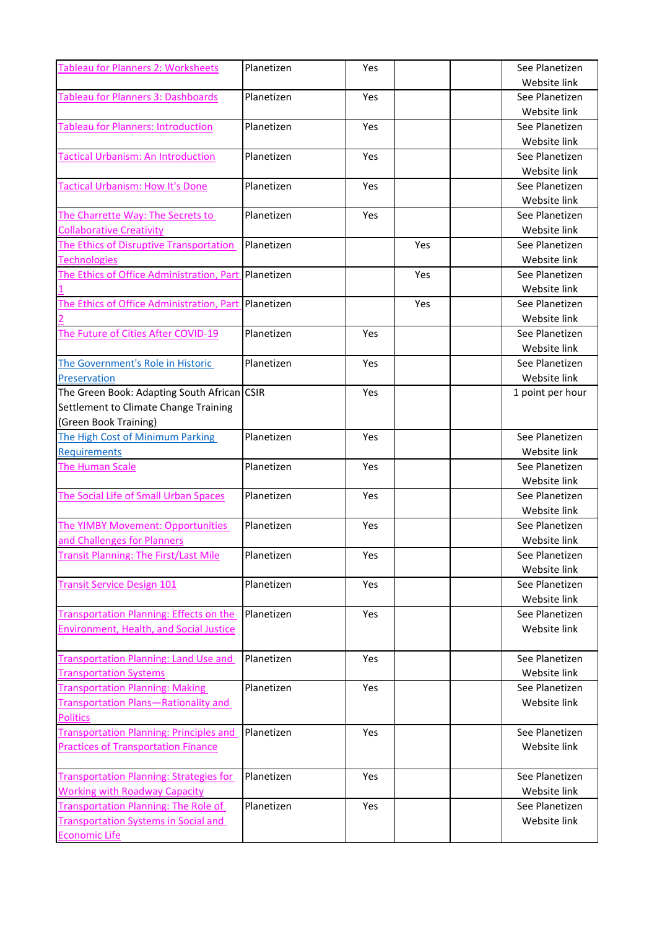| <b>Tableau for Planners 2: Worksheets</b>                      | Planetizen | Yes |     | See Planetizen   |
|----------------------------------------------------------------|------------|-----|-----|------------------|
|                                                                |            |     |     | Website link     |
| <b>Tableau for Planners 3: Dashboards</b>                      | Planetizen | Yes |     | See Planetizen   |
|                                                                |            |     |     | Website link     |
| <b>Tableau for Planners: Introduction</b>                      | Planetizen | Yes |     | See Planetizen   |
|                                                                |            |     |     | Website link     |
| <b>Tactical Urbanism: An Introduction</b>                      | Planetizen | Yes |     | See Planetizen   |
|                                                                |            |     |     | Website link     |
| <b>Tactical Urbanism: How It's Done</b>                        | Planetizen | Yes |     | See Planetizen   |
|                                                                |            |     |     | Website link     |
| The Charrette Way: The Secrets to                              | Planetizen | Yes |     | See Planetizen   |
| <b>Collaborative Creativity</b>                                |            |     |     | Website link     |
| The Ethics of Disruptive Transportation                        | Planetizen |     | Yes | See Planetizen   |
| <b>Technologies</b>                                            |            |     |     | Website link     |
| The Ethics of Office Administration, Part                      | Planetizen |     | Yes | See Planetizen   |
|                                                                |            |     |     | Website link     |
| The Ethics of Office Administration, Part                      | Planetizen |     | Yes | See Planetizen   |
|                                                                |            |     |     | Website link     |
| The Future of Cities After COVID-19                            | Planetizen | Yes |     | See Planetizen   |
|                                                                |            |     |     | Website link     |
| The Government's Role in Historic                              | Planetizen | Yes |     | See Planetizen   |
| Preservation                                                   |            |     |     | Website link     |
| The Green Book: Adapting South African CSIR                    |            | Yes |     | 1 point per hour |
| Settlement to Climate Change Training                          |            |     |     |                  |
| (Green Book Training)                                          |            |     |     |                  |
| The High Cost of Minimum Parking                               | Planetizen | Yes |     | See Planetizen   |
| <b>Requirements</b>                                            |            |     |     | Website link     |
| <b>The Human Scale</b>                                         | Planetizen | Yes |     | See Planetizen   |
|                                                                |            |     |     | Website link     |
| The Social Life of Small Urban Spaces                          | Planetizen | Yes |     | See Planetizen   |
|                                                                |            |     |     | Website link     |
| The YIMBY Movement: Opportunities                              | Planetizen | Yes |     | See Planetizen   |
| and Challenges for Planners                                    |            |     |     | Website link     |
| <b>Transit Planning: The First/Last Mile</b>                   | Planetizen | Yes |     | See Planetizen   |
|                                                                |            |     |     | Website link     |
| <b>Transit Service Design 101</b>                              | Planetizen | Yes |     | See Planetizen   |
|                                                                |            |     |     | Website link     |
| <b>Transportation Planning: Effects on the</b>                 | Planetizen | Yes |     | See Planetizen   |
| Environment, Health, and Social Justice                        |            |     |     | Website link     |
|                                                                |            |     |     |                  |
| <b>Transportation Planning: Land Use and</b>                   | Planetizen | Yes |     | See Planetizen   |
| <b>Transportation Systems</b>                                  |            | Yes |     | Website link     |
| <b>Transportation Planning: Making</b>                         | Planetizen |     |     | See Planetizen   |
| <b>Transportation Plans-Rationality and</b><br><b>Politics</b> |            |     |     | Website link     |
| <b>Transportation Planning: Principles and</b>                 | Planetizen | Yes |     | See Planetizen   |
|                                                                |            |     |     |                  |
| <b>Practices of Transportation Finance</b>                     |            |     |     | Website link     |
| <b>Transportation Planning: Strategies for</b>                 | Planetizen | Yes |     | See Planetizen   |
| <b>Working with Roadway Capacity</b>                           |            |     |     | Website link     |
| <b>Transportation Planning: The Role of</b>                    | Planetizen | Yes |     | See Planetizen   |
| <b>Transportation Systems in Social and</b>                    |            |     |     | Website link     |
| <b>Economic Life</b>                                           |            |     |     |                  |
|                                                                |            |     |     |                  |